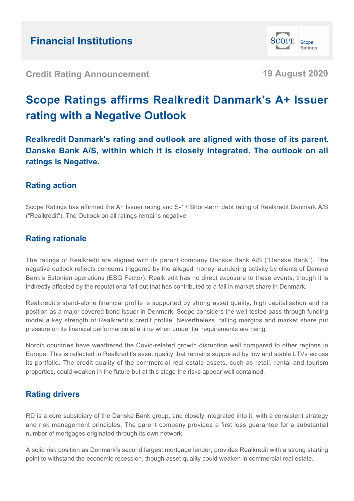

**Credit Rating Announcement 19 August 2020**

# **Scope Ratings affirms Realkredit Danmark's A+ Issuer rating with a Negative Outlook**

**Realkredit Danmark's rating and outlook are aligned with those of its parent, Danske Bank A/S, within which it is closely integrated. The outlook on all ratings is Negative.**

# **Rating action**

Scope Ratings has affirmed the A+ Issuer rating and S-1+ Short-term debt rating of Realkredit Danmark A/S ("Realkredit"). The Outlook on all ratings remains negative.

# **Rating rationale**

The ratings of Realkredit are aligned with its parent company Danske Bank A/S ("Danske Bank"). The negative outlook reflects concerns triggered by the alleged money laundering activity by clients of Danske Bank's Estonian operations (ESG Factor). Realkredit has no direct exposure to these events, though it is indirectly affected by the reputational fall-out that has contributed to a fall in market share in Denmark.

Realkredit's stand-alone financial profile is supported by strong asset quality, high capitalisation and its position as a major covered bond issuer in Denmark. Scope considers the well-tested pass-through funding model a key strength of Realkredit's credit profile. Nevertheless, falling margins and market share put pressure on its financial performance at a time when prudential requirements are rising.

Nordic countries have weathered the Covid-related growth disruption well compared to other regions in Europe. This is reflected in Realkredit's asset quality that remains supported by low and stable LTVs across its portfolio. The credit quality of the commercial real estate assets, such as retail, rental and tourism properties, could weaken in the future but at this stage the risks appear well contained.

## **Rating drivers**

RD is a core subsidiary of the Danske Bank group, and closely integrated into it, with a consistent strategy and risk management principles. The parent company provides a first loss guarantee for a substantial number of mortgages originated through its own network.

A solid risk position as Denmark's second largest mortgage lender, provides Realkredit with a strong starting point to withstand the economic recession, though asset quality could weaken in commercial real estate.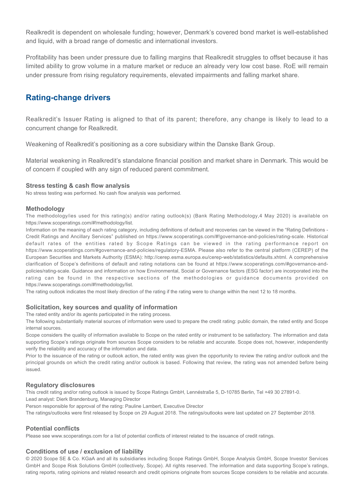Realkredit is dependent on wholesale funding; however, Denmark's covered bond market is well-established and liquid, with a broad range of domestic and international investors.

Profitability has been under pressure due to falling margins that Realkredit struggles to offset because it has limited ability to grow volume in a mature market or reduce an already very low cost base. RoE will remain under pressure from rising regulatory requirements, elevated impairments and falling market share.

### **Rating-change drivers**

Realkredit's Issuer Rating is aligned to that of its parent; therefore, any change is likely to lead to a concurrent change for Realkredit.

Weakening of Realkredit's positioning as a core subsidiary within the Danske Bank Group.

Material weakening in Realkredit's standalone financial position and market share in Denmark. This would be of concern if coupled with any sign of reduced parent commitment.

#### **Stress testing & cash flow analysis**

No stress testing was performed. No cash flow analysis was performed.

#### **Methodology**

The methodology/ies used for this rating(s) and/or rating outlook(s) (Bank Rating Methodology,4 May 2020) is available on https://www.scoperatings.com/#!methodology/list.

Information on the meaning of each rating category, including definitions of default and recoveries can be viewed in the "Rating Definitions - Credit Ratings and Ancillary Services" published on https://www.scoperatings.com/#!governance-and-policies/rating-scale. Historical default rates of the entities rated by Scope Ratings can be viewed in the rating performance report on https://www.scoperatings.com/#governance-and-policies/regulatory-ESMA. Please also refer to the central platform (CEREP) of the European Securities and Markets Authority (ESMA): http://cerep.esma.europa.eu/cerep-web/statistics/defaults.xhtml. A comprehensive clarification of Scope's definitions of default and rating notations can be found at https://www.scoperatings.com/#governance-andpolicies/rating-scale. Guidance and information on how Environmental, Social or Governance factors (ESG factor) are incorporated into the rating can be found in the respective sections of the methodologies or guidance documents provided on https://www.scoperatings.com/#!methodology/list.

The rating outlook indicates the most likely direction of the rating if the rating were to change within the next 12 to 18 months.

#### **Solicitation, key sources and quality of information**

The rated entity and/or its agents participated in the rating process.

The following substantially material sources of information were used to prepare the credit rating: public domain, the rated entity and Scope internal sources.

Scope considers the quality of information available to Scope on the rated entity or instrument to be satisfactory. The information and data supporting Scope's ratings originate from sources Scope considers to be reliable and accurate. Scope does not, however, independently verify the reliability and accuracy of the information and data.

Prior to the issuance of the rating or outlook action, the rated entity was given the opportunity to review the rating and/or outlook and the principal grounds on which the credit rating and/or outlook is based. Following that review, the rating was not amended before being issued.

#### **Regulatory disclosures**

This credit rating and/or rating outlook is issued by Scope Ratings GmbH, Lennéstraße 5, D-10785 Berlin, Tel +49 30 27891-0.

Lead analyst: Dierk Brandenburg, Managing Director

Person responsible for approval of the rating: Pauline Lambert, Executive Director

The ratings/outlooks were first released by Scope on 29 August 2018. The ratings/outlooks were last updated on 27 September 2018.

#### **Potential conflicts**

Please see www.scoperatings.com for a list of potential conflicts of interest related to the issuance of credit ratings.

#### **Conditions of use / exclusion of liability**

© 2020 Scope SE & Co. KGaA and all its subsidiaries including Scope Ratings GmbH, Scope Analysis GmbH, Scope Investor Services GmbH and Scope Risk Solutions GmbH (collectively, Scope). All rights reserved. The information and data supporting Scope's ratings, rating reports, rating opinions and related research and credit opinions originate from sources Scope considers to be reliable and accurate.